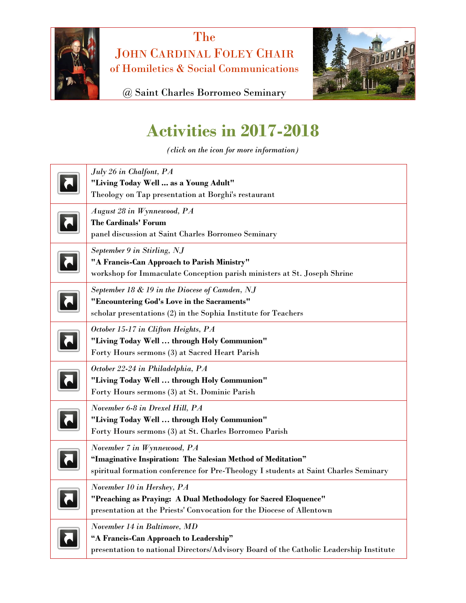

The JOHN CARDINAL FOLEY CHAIR of Homiletics & Social Communications



@ Saint Charles Borromeo Seminary

## **Activities in 2017-2018**

*(click on the icon for more information)*

| July 26 in Chalfont, PA<br>"Living Today Well  as a Young Adult"<br>Theology on Tap presentation at Borghi's restaurant                                                             |
|-------------------------------------------------------------------------------------------------------------------------------------------------------------------------------------|
| August 28 in Wynnewood, PA<br><b>The Cardinals' Forum</b><br>panel discussion at Saint Charles Borromeo Seminary                                                                    |
| September 9 in Stirling, NJ<br>"A Francis-Can Approach to Parish Ministry"<br>workshop for Immaculate Conception parish ministers at St. Joseph Shrine                              |
| September 18 & 19 in the Diocese of Camden, NJ<br>"Encountering God's Love in the Sacraments"<br>scholar presentations (2) in the Sophia Institute for Teachers                     |
| October 15-17 in Clifton Heights, PA<br>"Living Today Well  through Holy Communion"<br>Forty Hours sermons (3) at Sacred Heart Parish                                               |
| October 22-24 in Philadelphia, PA<br>"Living Today Well  through Holy Communion"<br>Forty Hours sermons (3) at St. Dominic Parish                                                   |
| November 6-8 in Drexel Hill, PA<br>"Living Today Well  through Holy Communion"<br>Forty Hours sermons (3) at St. Charles Borromeo Parish                                            |
| November 7 in Wynnewood, PA<br>"Imaginative Inspiration: The Salesian Method of Meditation"<br>spiritual formation conference for Pre-Theology I students at Saint Charles Seminary |
| November 10 in Hershey, PA<br>"Preaching as Praying: A Dual Methodology for Sacred Eloquence"<br>presentation at the Priests' Convocation for the Diocese of Allentown              |
| November 14 in Baltimore, MD<br>"A Francis-Can Approach to Leadership"<br>presentation to national Directors/Advisory Board of the Catholic Leadership Institute                    |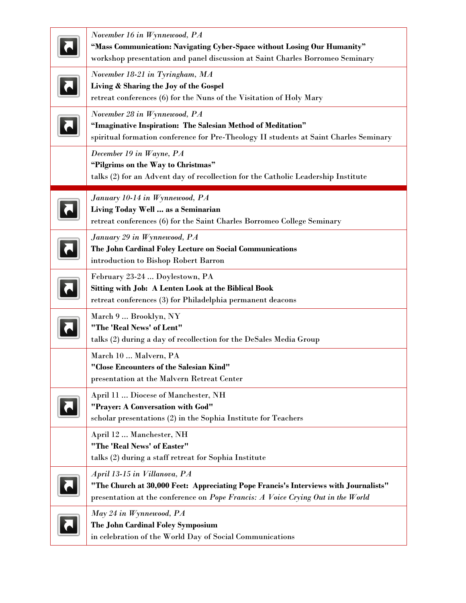| November 16 in Wynnewood, PA<br>"Mass Communication: Navigating Cyber-Space without Losing Our Humanity"<br>workshop presentation and panel discussion at Saint Charles Borromeo Seminary               |
|---------------------------------------------------------------------------------------------------------------------------------------------------------------------------------------------------------|
| November 18-21 in Tyringham, MA<br>Living & Sharing the Joy of the Gospel<br>retreat conferences (6) for the Nuns of the Visitation of Holy Mary                                                        |
| November 28 in Wynnewood, PA<br>"Imaginative Inspiration: The Salesian Method of Meditation"<br>spiritual formation conference for Pre-Theology II students at Saint Charles Seminary                   |
| December 19 in Wayne, PA<br>"Pilgrims on the Way to Christmas"<br>talks (2) for an Advent day of recollection for the Catholic Leadership Institute                                                     |
| January 10-14 in Wynnewood, PA<br>Living Today Well  as a Seminarian<br>retreat conferences (6) for the Saint Charles Borromeo College Seminary                                                         |
| January 29 in Wynnewood, PA<br>The John Cardinal Foley Lecture on Social Communications<br>introduction to Bishop Robert Barron                                                                         |
| February 23-24  Doylestown, PA<br><b>Sitting with Job: A Lenten Look at the Biblical Book</b><br>retreat conferences (3) for Philadelphia permanent deacons                                             |
| March 9  Brooklyn, NY<br>"The 'Real News' of Lent"<br>talks (2) during a day of recollection for the DeSales Media Group                                                                                |
| March 10  Malvern, PA<br>"Close Encounters of the Salesian Kind"<br>presentation at the Malvern Retreat Center                                                                                          |
| April 11  Diocese of Manchester, NH<br>"Prayer: A Conversation with God"<br>scholar presentations (2) in the Sophia Institute for Teachers                                                              |
| April 12  Manchester, NH<br>"The 'Real News' of Easter"<br>talks (2) during a staff retreat for Sophia Institute                                                                                        |
| April 13-15 in Villanova, PA<br>"The Church at 30,000 Feet: Appreciating Pope Francis's Interviews with Journalists"<br>presentation at the conference on Pope Francis: A Voice Crying Out in the World |
| May 24 in Wynnewood, PA<br>The John Cardinal Foley Symposium<br>in celebration of the World Day of Social Communications                                                                                |